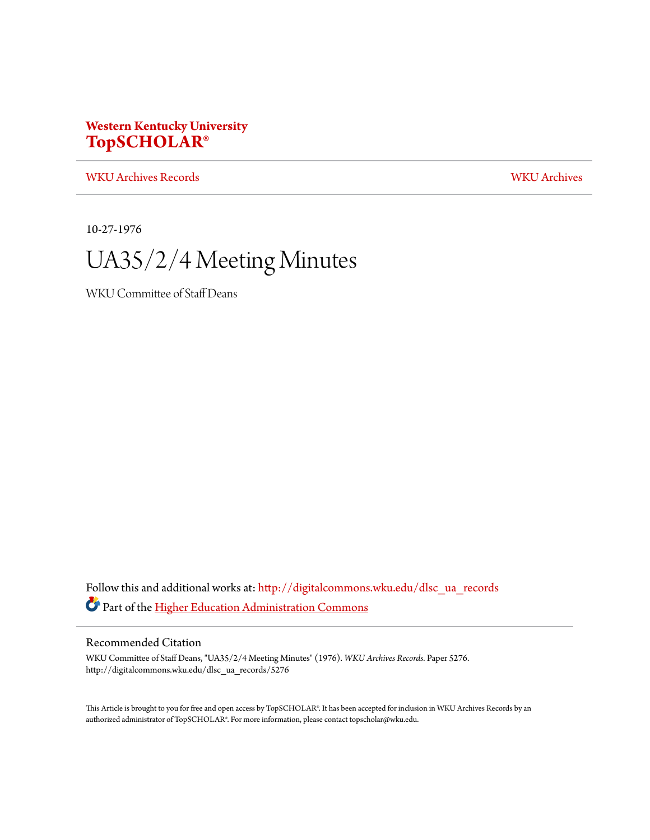## **Western Kentucky University [TopSCHOLAR®](http://digitalcommons.wku.edu?utm_source=digitalcommons.wku.edu%2Fdlsc_ua_records%2F5276&utm_medium=PDF&utm_campaign=PDFCoverPages)**

[WKU Archives Records](http://digitalcommons.wku.edu/dlsc_ua_records?utm_source=digitalcommons.wku.edu%2Fdlsc_ua_records%2F5276&utm_medium=PDF&utm_campaign=PDFCoverPages) [WKU Archives](http://digitalcommons.wku.edu/dlsc_ua?utm_source=digitalcommons.wku.edu%2Fdlsc_ua_records%2F5276&utm_medium=PDF&utm_campaign=PDFCoverPages)

10-27-1976

# UA35/2/4 Meeting Minutes

WKU Committee of Staff Deans

Follow this and additional works at: [http://digitalcommons.wku.edu/dlsc\\_ua\\_records](http://digitalcommons.wku.edu/dlsc_ua_records?utm_source=digitalcommons.wku.edu%2Fdlsc_ua_records%2F5276&utm_medium=PDF&utm_campaign=PDFCoverPages) Part of the [Higher Education Administration Commons](http://network.bepress.com/hgg/discipline/791?utm_source=digitalcommons.wku.edu%2Fdlsc_ua_records%2F5276&utm_medium=PDF&utm_campaign=PDFCoverPages)

### Recommended Citation

WKU Committee of Staff Deans, "UA35/2/4 Meeting Minutes" (1976). *WKU Archives Records.* Paper 5276. http://digitalcommons.wku.edu/dlsc\_ua\_records/5276

This Article is brought to you for free and open access by TopSCHOLAR®. It has been accepted for inclusion in WKU Archives Records by an authorized administrator of TopSCHOLAR®. For more information, please contact topscholar@wku.edu.